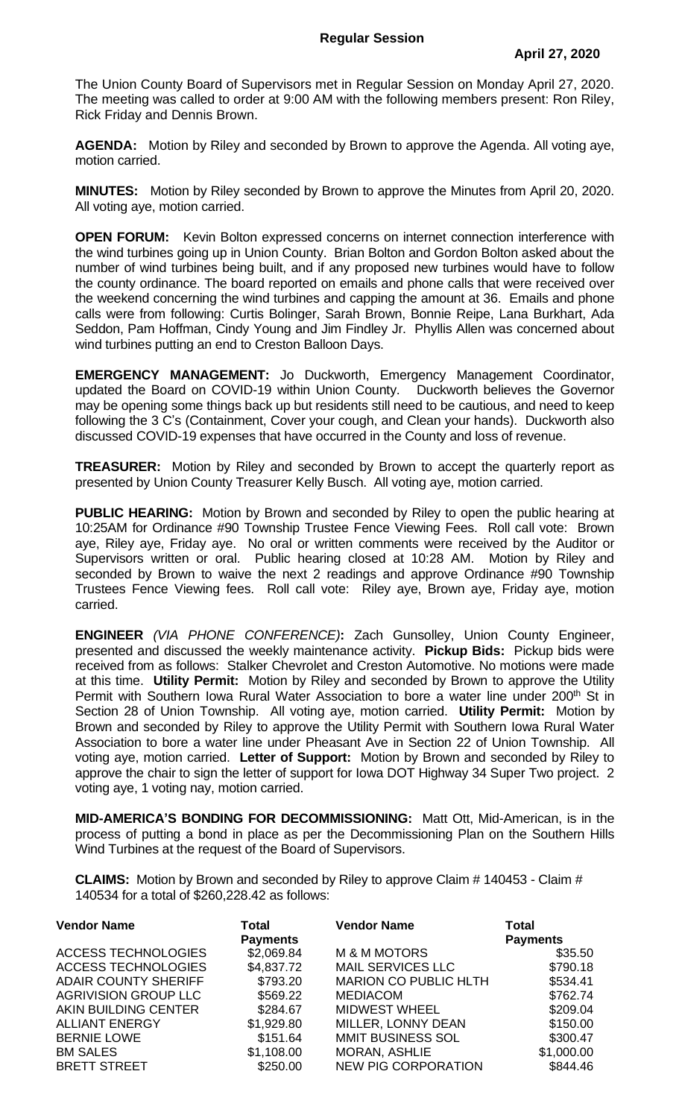The Union County Board of Supervisors met in Regular Session on Monday April 27, 2020. The meeting was called to order at 9:00 AM with the following members present: Ron Riley, Rick Friday and Dennis Brown.

**AGENDA:** Motion by Riley and seconded by Brown to approve the Agenda. All voting aye, motion carried.

**MINUTES:** Motion by Riley seconded by Brown to approve the Minutes from April 20, 2020. All voting aye, motion carried.

**OPEN FORUM:** Kevin Bolton expressed concerns on internet connection interference with the wind turbines going up in Union County. Brian Bolton and Gordon Bolton asked about the number of wind turbines being built, and if any proposed new turbines would have to follow the county ordinance. The board reported on emails and phone calls that were received over the weekend concerning the wind turbines and capping the amount at 36. Emails and phone calls were from following: Curtis Bolinger, Sarah Brown, Bonnie Reipe, Lana Burkhart, Ada Seddon, Pam Hoffman, Cindy Young and Jim Findley Jr. Phyllis Allen was concerned about wind turbines putting an end to Creston Balloon Days.

**EMERGENCY MANAGEMENT:** Jo Duckworth, Emergency Management Coordinator, updated the Board on COVID-19 within Union County. Duckworth believes the Governor may be opening some things back up but residents still need to be cautious, and need to keep following the 3 C's (Containment, Cover your cough, and Clean your hands). Duckworth also discussed COVID-19 expenses that have occurred in the County and loss of revenue.

**TREASURER:** Motion by Riley and seconded by Brown to accept the quarterly report as presented by Union County Treasurer Kelly Busch. All voting aye, motion carried.

**PUBLIC HEARING:** Motion by Brown and seconded by Riley to open the public hearing at 10:25AM for Ordinance #90 Township Trustee Fence Viewing Fees. Roll call vote: Brown aye, Riley aye, Friday aye. No oral or written comments were received by the Auditor or Supervisors written or oral. Public hearing closed at 10:28 AM. Motion by Riley and seconded by Brown to waive the next 2 readings and approve Ordinance #90 Township Trustees Fence Viewing fees. Roll call vote: Riley aye, Brown aye, Friday aye, motion carried.

**ENGINEER** *(VIA PHONE CONFERENCE)***:** Zach Gunsolley, Union County Engineer, presented and discussed the weekly maintenance activity. **Pickup Bids:** Pickup bids were received from as follows: Stalker Chevrolet and Creston Automotive. No motions were made at this time. **Utility Permit:** Motion by Riley and seconded by Brown to approve the Utility Permit with Southern Iowa Rural Water Association to bore a water line under 200<sup>th</sup> St in Section 28 of Union Township. All voting aye, motion carried. **Utility Permit:** Motion by Brown and seconded by Riley to approve the Utility Permit with Southern Iowa Rural Water Association to bore a water line under Pheasant Ave in Section 22 of Union Township. All voting aye, motion carried. **Letter of Support:** Motion by Brown and seconded by Riley to approve the chair to sign the letter of support for Iowa DOT Highway 34 Super Two project. 2 voting aye, 1 voting nay, motion carried.

**MID-AMERICA'S BONDING FOR DECOMMISSIONING:** Matt Ott, Mid-American, is in the process of putting a bond in place as per the Decommissioning Plan on the Southern Hills Wind Turbines at the request of the Board of Supervisors.

**CLAIMS:** Motion by Brown and seconded by Riley to approve Claim # 140453 - Claim # 140534 for a total of \$260,228.42 as follows:

| <b>Vendor Name</b>          | Total<br><b>Payments</b> | <b>Vendor Name</b>           | <b>Total</b><br><b>Payments</b> |
|-----------------------------|--------------------------|------------------------------|---------------------------------|
| <b>ACCESS TECHNOLOGIES</b>  | \$2,069.84               | <b>M &amp; M MOTORS</b>      | \$35.50                         |
| <b>ACCESS TECHNOLOGIES</b>  | \$4,837.72               | <b>MAIL SERVICES LLC</b>     | \$790.18                        |
| <b>ADAIR COUNTY SHERIFF</b> | \$793.20                 | <b>MARION CO PUBLIC HLTH</b> | \$534.41                        |
| <b>AGRIVISION GROUP LLC</b> | \$569.22                 | <b>MEDIACOM</b>              | \$762.74                        |
| AKIN BUILDING CENTER        | \$284.67                 | <b>MIDWEST WHEEL</b>         | \$209.04                        |
| <b>ALLIANT ENERGY</b>       | \$1,929.80               | MILLER, LONNY DEAN           | \$150.00                        |
| <b>BERNIE LOWE</b>          | \$151.64                 | MMIT BUSINESS SOL            | \$300.47                        |
| <b>BM SALES</b>             | \$1,108.00               | <b>MORAN, ASHLIE</b>         | \$1,000.00                      |
| <b>BRETT STREET</b>         | \$250.00                 | <b>NEW PIG CORPORATION</b>   | \$844.46                        |